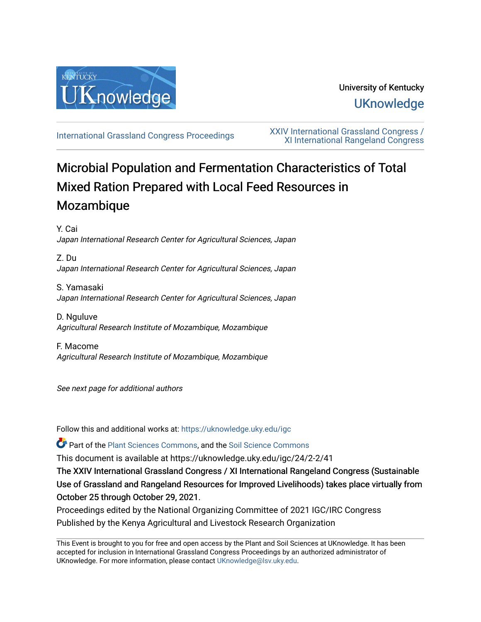

## University of Kentucky **UKnowledge**

[International Grassland Congress Proceedings](https://uknowledge.uky.edu/igc) [XXIV International Grassland Congress /](https://uknowledge.uky.edu/igc/24)  [XI International Rangeland Congress](https://uknowledge.uky.edu/igc/24) 

# Microbial Population and Fermentation Characteristics of Total Mixed Ration Prepared with Local Feed Resources in Mozambique

Y. Cai Japan International Research Center for Agricultural Sciences, Japan

Z. Du Japan International Research Center for Agricultural Sciences, Japan

S. Yamasaki Japan International Research Center for Agricultural Sciences, Japan

D. Nguluve Agricultural Research Institute of Mozambique, Mozambique

F. Macome Agricultural Research Institute of Mozambique, Mozambique

See next page for additional authors

Follow this and additional works at: [https://uknowledge.uky.edu/igc](https://uknowledge.uky.edu/igc?utm_source=uknowledge.uky.edu%2Figc%2F24%2F2-2%2F41&utm_medium=PDF&utm_campaign=PDFCoverPages) 

Part of the [Plant Sciences Commons](http://network.bepress.com/hgg/discipline/102?utm_source=uknowledge.uky.edu%2Figc%2F24%2F2-2%2F41&utm_medium=PDF&utm_campaign=PDFCoverPages), and the [Soil Science Commons](http://network.bepress.com/hgg/discipline/163?utm_source=uknowledge.uky.edu%2Figc%2F24%2F2-2%2F41&utm_medium=PDF&utm_campaign=PDFCoverPages) 

This document is available at https://uknowledge.uky.edu/igc/24/2-2/41

The XXIV International Grassland Congress / XI International Rangeland Congress (Sustainable Use of Grassland and Rangeland Resources for Improved Livelihoods) takes place virtually from October 25 through October 29, 2021.

Proceedings edited by the National Organizing Committee of 2021 IGC/IRC Congress Published by the Kenya Agricultural and Livestock Research Organization

This Event is brought to you for free and open access by the Plant and Soil Sciences at UKnowledge. It has been accepted for inclusion in International Grassland Congress Proceedings by an authorized administrator of UKnowledge. For more information, please contact [UKnowledge@lsv.uky.edu](mailto:UKnowledge@lsv.uky.edu).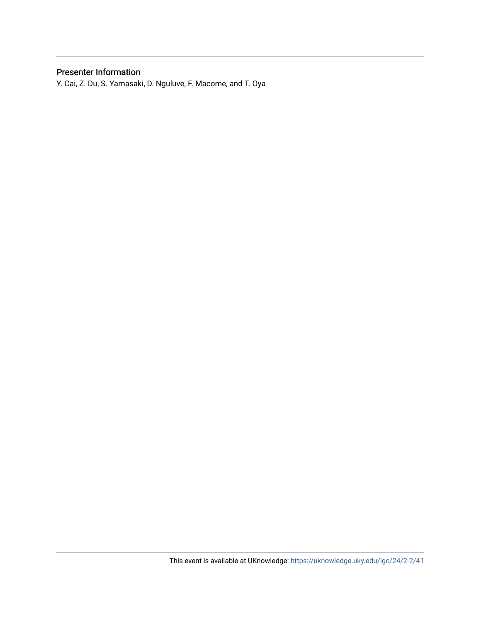### Presenter Information

Y. Cai, Z. Du, S. Yamasaki, D. Nguluve, F. Macome, and T. Oya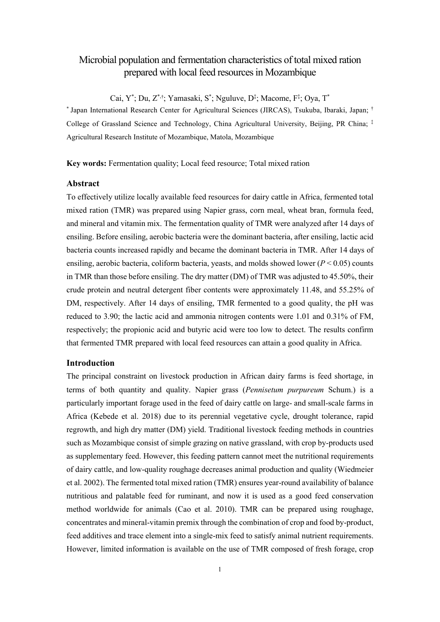## Microbial population and fermentation characteristics of total mixed ration prepared with local feed resources in Mozambique

Cai, Y\*; Du, Z\*,†; Yamasaki, S\*; Nguluve, D<sup>‡</sup>; Macome, F<sup>‡</sup>; Oya, T\*

\* Japan International Research Center for Agricultural Sciences (JIRCAS), Tsukuba, Ibaraki, Japan; † College of Grassland Science and Technology, China Agricultural University, Beijing, PR China; ‡ Agricultural Research Institute of Mozambique, Matola, Mozambique

**Key words:** Fermentation quality; Local feed resource; Total mixed ration

#### **Abstract**

To effectively utilize locally available feed resources for dairy cattle in Africa, fermented total mixed ration (TMR) was prepared using Napier grass, corn meal, wheat bran, formula feed, and mineral and vitamin mix. The fermentation quality of TMR were analyzed after 14 days of ensiling. Before ensiling, aerobic bacteria were the dominant bacteria, after ensiling, lactic acid bacteria counts increased rapidly and became the dominant bacteria in TMR. After 14 days of ensiling, aerobic bacteria, coliform bacteria, yeasts, and molds showed lower  $(P < 0.05)$  counts in TMR than those before ensiling. The dry matter (DM) of TMR was adjusted to 45.50%, their crude protein and neutral detergent fiber contents were approximately 11.48, and 55.25% of DM, respectively. After 14 days of ensiling, TMR fermented to a good quality, the pH was reduced to 3.90; the lactic acid and ammonia nitrogen contents were 1.01 and 0.31% of FM, respectively; the propionic acid and butyric acid were too low to detect. The results confirm that fermented TMR prepared with local feed resources can attain a good quality in Africa.

#### **Introduction**

The principal constraint on livestock production in African dairy farms is feed shortage, in terms of both quantity and quality. Napier grass (*Pennisetum purpureum* Schum.) is a particularly important forage used in the feed of dairy cattle on large- and small-scale farms in Africa (Kebede et al. 2018) due to its perennial vegetative cycle, drought tolerance, rapid regrowth, and high dry matter (DM) yield. Traditional livestock feeding methods in countries such as Mozambique consist of simple grazing on native grassland, with crop by-products used as supplementary feed. However, this feeding pattern cannot meet the nutritional requirements of dairy cattle, and low-quality roughage decreases animal production and quality (Wiedmeier et al. 2002). The fermented total mixed ration (TMR) ensures year-round availability of balance nutritious and palatable feed for ruminant, and now it is used as a good feed conservation method worldwide for animals (Cao et al. 2010). TMR can be prepared using roughage, concentrates and mineral-vitamin premix through the combination of crop and food by-product, feed additives and trace element into a single-mix feed to satisfy animal nutrient requirements. However, limited information is available on the use of TMR composed of fresh forage, crop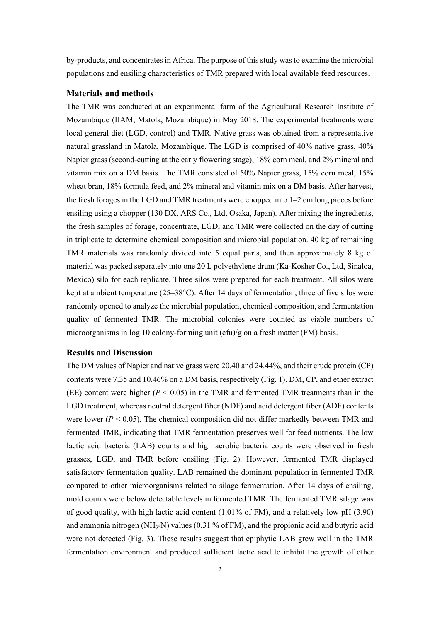by-products, and concentrates in Africa. The purpose of this study was to examine the microbial populations and ensiling characteristics of TMR prepared with local available feed resources.

#### **Materials and methods**

The TMR was conducted at an experimental farm of the Agricultural Research Institute of Mozambique (IIAM, Matola, Mozambique) in May 2018. The experimental treatments were local general diet (LGD, control) and TMR. Native grass was obtained from a representative natural grassland in Matola, Mozambique. The LGD is comprised of 40% native grass, 40% Napier grass (second-cutting at the early flowering stage), 18% corn meal, and 2% mineral and vitamin mix on a DM basis. The TMR consisted of 50% Napier grass, 15% corn meal, 15% wheat bran, 18% formula feed, and 2% mineral and vitamin mix on a DM basis. After harvest, the fresh forages in the LGD and TMR treatments were chopped into 1–2 cm long pieces before ensiling using a chopper (130 DX, ARS Co., Ltd, Osaka, Japan). After mixing the ingredients, the fresh samples of forage, concentrate, LGD, and TMR were collected on the day of cutting in triplicate to determine chemical composition and microbial population. 40 kg of remaining TMR materials was randomly divided into 5 equal parts, and then approximately 8 kg of material was packed separately into one 20 L polyethylene drum (Ka-Kosher Co., Ltd, Sinaloa, Mexico) silo for each replicate. Three silos were prepared for each treatment. All silos were kept at ambient temperature (25–38°C). After 14 days of fermentation, three of five silos were randomly opened to analyze the microbial population, chemical composition, and fermentation quality of fermented TMR. The microbial colonies were counted as viable numbers of microorganisms in log 10 colony-forming unit (cfu)/g on a fresh matter (FM) basis.

#### **Results and Discussion**

The DM values of Napier and native grass were 20.40 and 24.44%, and their crude protein (CP) contents were 7.35 and 10.46% on a DM basis, respectively (Fig. 1). DM, CP, and ether extract (EE) content were higher  $(P < 0.05)$  in the TMR and fermented TMR treatments than in the LGD treatment, whereas neutral detergent fiber (NDF) and acid detergent fiber (ADF) contents were lower ( $P < 0.05$ ). The chemical composition did not differ markedly between TMR and fermented TMR, indicating that TMR fermentation preserves well for feed nutrients. The low lactic acid bacteria (LAB) counts and high aerobic bacteria counts were observed in fresh grasses, LGD, and TMR before ensiling (Fig. 2). However, fermented TMR displayed satisfactory fermentation quality. LAB remained the dominant population in fermented TMR compared to other microorganisms related to silage fermentation. After 14 days of ensiling, mold counts were below detectable levels in fermented TMR. The fermented TMR silage was of good quality, with high lactic acid content (1.01% of FM), and a relatively low pH (3.90) and ammonia nitrogen (NH<sub>3</sub>-N) values (0.31 % of FM), and the propionic acid and butyric acid were not detected (Fig. 3). These results suggest that epiphytic LAB grew well in the TMR fermentation environment and produced sufficient lactic acid to inhibit the growth of other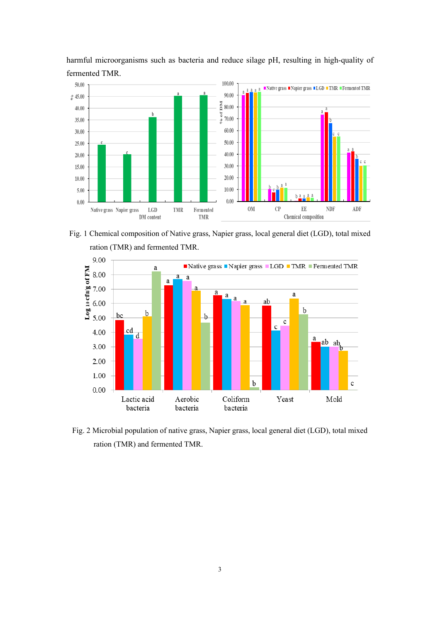

harmful microorganisms such as bacteria and reduce silage pH, resulting in high-quality of fermented TMR.

Fig. 1 Chemical composition of Native grass, Napier grass, local general diet (LGD), total mixed ration (TMR) and fermented TMR.



Fig. 2 Microbial population of native grass, Napier grass, local general diet (LGD), total mixed ration (TMR) and fermented TMR.